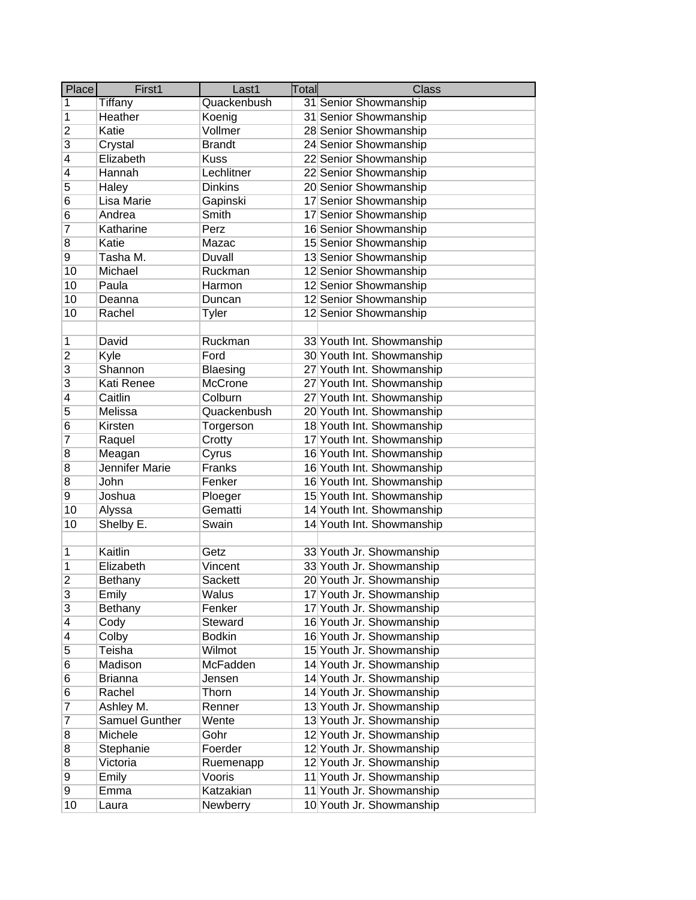| Place                   | First1                | Last1           | Total | <b>Class</b>              |
|-------------------------|-----------------------|-----------------|-------|---------------------------|
| $\mathbf{1}$            | <b>Tiffany</b>        | Quackenbush     |       | 31 Senior Showmanship     |
| $\overline{1}$          | Heather               | Koenig          |       | 31 Senior Showmanship     |
| $\overline{2}$          | Katie                 | Vollmer         |       | 28 Senior Showmanship     |
| $\overline{3}$          | Crystal               | <b>Brandt</b>   |       | 24 Senior Showmanship     |
| 4                       | Elizabeth             | <b>Kuss</b>     |       | 22 Senior Showmanship     |
| $\overline{\mathbf{4}}$ | Hannah                | Lechlitner      |       | 22 Senior Showmanship     |
| 5                       | Haley                 | <b>Dinkins</b>  |       | 20 Senior Showmanship     |
| $6\phantom{.}6$         | Lisa Marie            | Gapinski        |       | 17 Senior Showmanship     |
| 6                       | Andrea                | Smith           |       | 17 Senior Showmanship     |
| 7                       | Katharine             | Perz            |       | 16 Senior Showmanship     |
| $\overline{\mathbf{8}}$ | Katie                 | Mazac           |       | 15 Senior Showmanship     |
| 9                       | Tasha M.              | Duvall          |       | 13 Senior Showmanship     |
| 10                      | Michael               | Ruckman         |       | 12 Senior Showmanship     |
| 10                      | Paula                 | Harmon          |       | 12 Senior Showmanship     |
| 10                      | Deanna                | Duncan          |       | 12 Senior Showmanship     |
| 10                      | Rachel                | Tyler           |       | 12 Senior Showmanship     |
|                         |                       |                 |       |                           |
| $\mathbf 1$             | David                 | Ruckman         |       | 33 Youth Int. Showmanship |
| $\overline{c}$          | Kyle                  | Ford            |       | 30 Youth Int. Showmanship |
| $\overline{3}$          | Shannon               | <b>Blaesing</b> |       | 27 Youth Int. Showmanship |
| $\overline{3}$          | Kati Renee            | <b>McCrone</b>  |       | 27 Youth Int. Showmanship |
| $\overline{\mathbf{4}}$ | Caitlin               | Colburn         |       | 27 Youth Int. Showmanship |
| $\overline{5}$          | Melissa               | Quackenbush     |       | 20 Youth Int. Showmanship |
| $6\phantom{1}6$         | Kirsten               | Torgerson       |       | 18 Youth Int. Showmanship |
| $\overline{7}$          | Raquel                | Crotty          |       | 17 Youth Int. Showmanship |
| $\overline{8}$          | Meagan                | Cyrus           |       | 16 Youth Int. Showmanship |
| $\overline{8}$          | <b>Jennifer Marie</b> | Franks          |       | 16 Youth Int. Showmanship |
| $\overline{8}$          | John                  | Fenker          |       | 16 Youth Int. Showmanship |
| $\overline{9}$          | Joshua                | Ploeger         |       | 15 Youth Int. Showmanship |
| 10                      | Alyssa                | Gematti         |       | 14 Youth Int. Showmanship |
| 10                      | Shelby E.             | Swain           |       | 14 Youth Int. Showmanship |
|                         |                       |                 |       |                           |
| 1                       | Kaitlin               | Getz            |       | 33 Youth Jr. Showmanship  |
| $\mathbf 1$             | Elizabeth             | Vincent         |       | 33 Youth Jr. Showmanship  |
| $\overline{2}$          | <b>Bethany</b>        | Sackett         |       | 20 Youth Jr. Showmanship  |
| 3                       | Emily                 | Walus           |       | 17 Youth Jr. Showmanship  |
| 3                       | Bethany               | Fenker          |       | 17 Youth Jr. Showmanship  |
| $\overline{\mathbf{4}}$ | Cody                  | Steward         |       | 16 Youth Jr. Showmanship  |
| 4                       | Colby                 | <b>Bodkin</b>   |       | 16 Youth Jr. Showmanship  |
| 5                       | Teisha                | Wilmot          |       | 15 Youth Jr. Showmanship  |
| 6                       | Madison               | McFadden        |       | 14 Youth Jr. Showmanship  |
| 6                       | <b>Brianna</b>        | Jensen          |       | 14 Youth Jr. Showmanship  |
| 6                       | Rachel                | Thorn           |       | 14 Youth Jr. Showmanship  |
| $\overline{7}$          | Ashley M.             | Renner          |       | 13 Youth Jr. Showmanship  |
| 7                       | <b>Samuel Gunther</b> | Wente           |       | 13 Youth Jr. Showmanship  |
| 8                       | Michele               | Gohr            |       | 12 Youth Jr. Showmanship  |
| 8                       | Stephanie             | Foerder         |       | 12 Youth Jr. Showmanship  |
| 8                       | Victoria              | Ruemenapp       |       | 12 Youth Jr. Showmanship  |
| $\overline{9}$          | Emily                 | Vooris          |       | 11 Youth Jr. Showmanship  |
| 9                       | Emma                  | Katzakian       |       | 11 Youth Jr. Showmanship  |
| 10                      | Laura                 | Newberry        |       | 10 Youth Jr. Showmanship  |